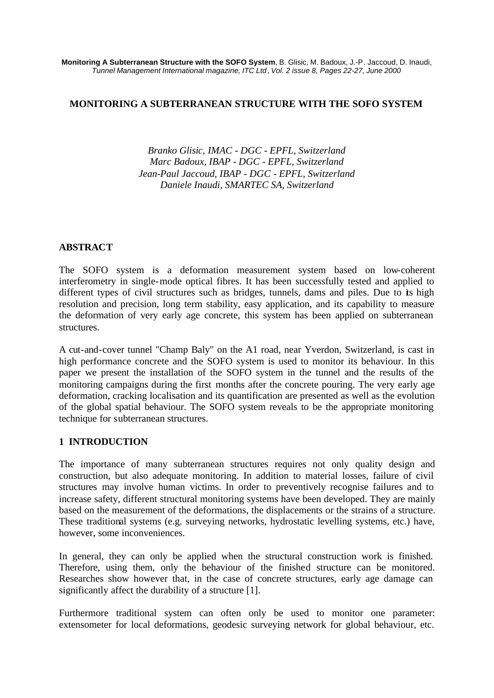### **MONITORING A SUBTERRANEAN STRUCTURE WITH THE SOFO SYSTEM**

*Branko Glisic, IMAC - DGC - EPFL, Switzerland Marc Badoux, IBAP - DGC - EPFL, Switzerland Jean-Paul Jaccoud, IBAP - DGC - EPFL, Switzerland Daniele Inaudi, SMARTEC SA, Switzerland*

# **ABSTRACT**

The SOFO system is a deformation measurement system based on low-coherent interferometry in single-mode optical fibres. It has been successfully tested and applied to different types of civil structures such as bridges, tunnels, dams and piles. Due to its high resolution and precision, long term stability, easy application, and its capability to measure the deformation of very early age concrete, this system has been applied on subterranean structures.

A cut-and-cover tunnel "Champ Baly" on the A1 road, near Yverdon, Switzerland, is cast in high performance concrete and the SOFO system is used to monitor its behaviour. In this paper we present the installation of the SOFO system in the tunnel and the results of the monitoring campaigns during the first months after the concrete pouring. The very early age deformation, cracking localisation and its quantification are presented as well as the evolution of the global spatial behaviour. The SOFO system reveals to be the appropriate monitoring technique for subterranean structures.

# **1 INTRODUCTION**

The importance of many subterranean structures requires not only quality design and construction, but also adequate monitoring. In addition to material losses, failure of civil structures may involve human victims. In order to preventively recognise failures and to increase safety, different structural monitoring systems have been developed. They are mainly based on the measurement of the deformations, the displacements or the strains of a structure. These traditional systems (e.g. surveying networks, hydrostatic levelling systems, etc.) have, however, some inconveniences.

In general, they can only be applied when the structural construction work is finished. Therefore, using them, only the behaviour of the finished structure can be monitored. Researches show however that, in the case of concrete structures, early age damage can significantly affect the durability of a structure [1].

Furthermore traditional system can often only be used to monitor one parameter: extensometer for local deformations, geodesic surveying network for global behaviour, etc.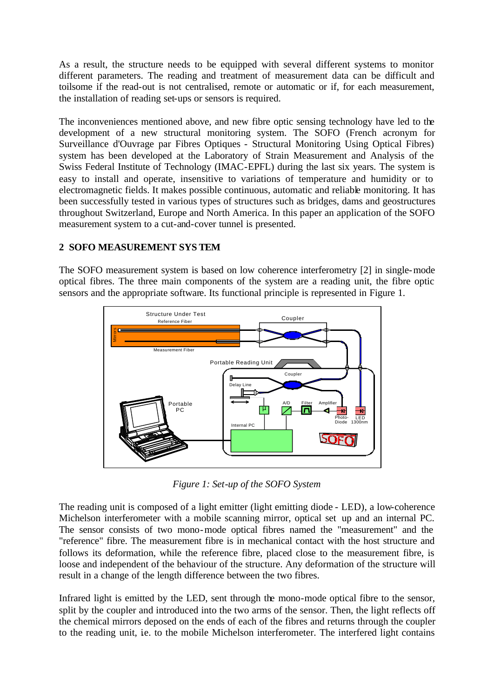As a result, the structure needs to be equipped with several different systems to monitor different parameters. The reading and treatment of measurement data can be difficult and toilsome if the read-out is not centralised, remote or automatic or if, for each measurement, the installation of reading set-ups or sensors is required.

The inconveniences mentioned above, and new fibre optic sensing technology have led to the development of a new structural monitoring system. The SOFO (French acronym for Surveillance d'Ouvrage par Fibres Optiques - Structural Monitoring Using Optical Fibres) system has been developed at the Laboratory of Strain Measurement and Analysis of the Swiss Federal Institute of Technology (IMAC-EPFL) during the last six years. The system is easy to install and operate, insensitive to variations of temperature and humidity or to electromagnetic fields. It makes possible continuous, automatic and reliable monitoring. It has been successfully tested in various types of structures such as bridges, dams and geostructures throughout Switzerland, Europe and North America. In this paper an application of the SOFO measurement system to a cut-and-cover tunnel is presented.

# **2 SOFO MEASUREMENT SYS TEM**

The SOFO measurement system is based on low coherence interferometry [2] in single-mode optical fibres. The three main components of the system are a reading unit, the fibre optic sensors and the appropriate software. Its functional principle is represented in Figure 1.



*Figure 1: Set-up of the SOFO System*

The reading unit is composed of a light emitter (light emitting diode - LED), a low-coherence Michelson interferometer with a mobile scanning mirror, optical set up and an internal PC. The sensor consists of two mono-mode optical fibres named the "measurement" and the "reference" fibre. The measurement fibre is in mechanical contact with the host structure and follows its deformation, while the reference fibre, placed close to the measurement fibre, is loose and independent of the behaviour of the structure. Any deformation of the structure will result in a change of the length difference between the two fibres.

Infrared light is emitted by the LED, sent through the mono-mode optical fibre to the sensor, split by the coupler and introduced into the two arms of the sensor. Then, the light reflects off the chemical mirrors deposed on the ends of each of the fibres and returns through the coupler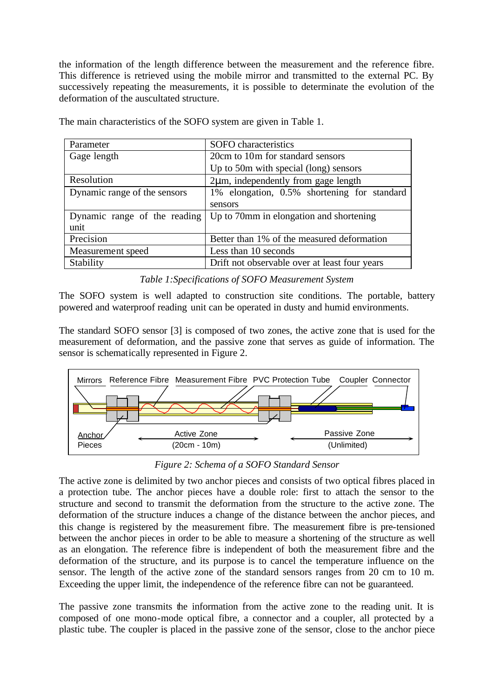the information of the length difference between the measurement and the reference fibre. This difference is retrieved using the mobile mirror and transmitted to the external PC. By successively repeating the measurements, it is possible to determinate the evolution of the deformation of the auscultated structure.

| Parameter                    | SOFO characteristics                          |
|------------------------------|-----------------------------------------------|
| Gage length                  | 20cm to 10m for standard sensors              |
|                              | Up to 50m with special (long) sensors         |
| Resolution                   | $2\mu$ m, independently from gage length      |
| Dynamic range of the sensors | 1% elongation, 0.5% shortening for standard   |
|                              | sensors                                       |
| Dynamic range of the reading | Up to 70mm in elongation and shortening       |
| unit                         |                                               |
| Precision                    | Better than 1% of the measured deformation    |
| Measurement speed            | Less than 10 seconds                          |
| Stability                    | Drift not observable over at least four years |

The main characteristics of the SOFO system are given in Table 1.

# *Table 1:Specifications of SOFO Measurement System*

The SOFO system is well adapted to construction site conditions. The portable, battery powered and waterproof reading unit can be operated in dusty and humid environments.

The standard SOFO sensor [3] is composed of two zones, the active zone that is used for the measurement of deformation, and the passive zone that serves as guide of information. The sensor is schematically represented in Figure 2.



*Figure 2: Schema of a SOFO Standard Sensor*

The active zone is delimited by two anchor pieces and consists of two optical fibres placed in a protection tube. The anchor pieces have a double role: first to attach the sensor to the structure and second to transmit the deformation from the structure to the active zone. The deformation of the structure induces a change of the distance between the anchor pieces, and this change is registered by the measurement fibre. The measurement fibre is pre-tensioned between the anchor pieces in order to be able to measure a shortening of the structure as well as an elongation. The reference fibre is independent of both the measurement fibre and the deformation of the structure, and its purpose is to cancel the temperature influence on the sensor. The length of the active zone of the standard sensors ranges from 20 cm to 10 m. Exceeding the upper limit, the independence of the reference fibre can not be guaranteed.

The passive zone transmits the information from the active zone to the reading unit. It is composed of one mono-mode optical fibre, a connector and a coupler, all protected by a plastic tube. The coupler is placed in the passive zone of the sensor, close to the anchor piece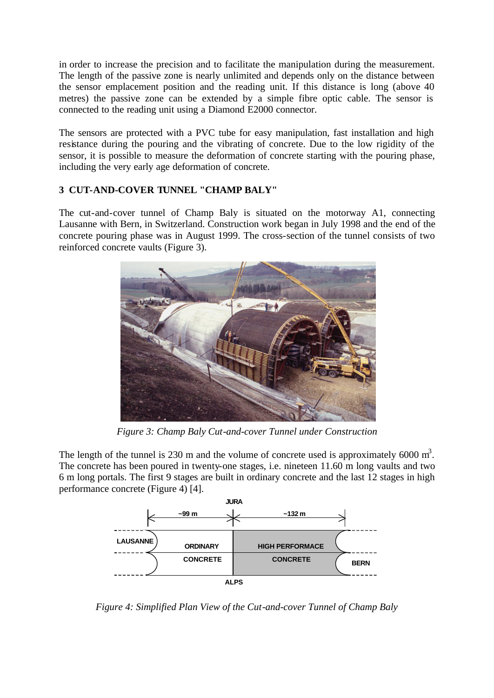in order to increase the precision and to facilitate the manipulation during the measurement. The length of the passive zone is nearly unlimited and depends only on the distance between the sensor emplacement position and the reading unit. If this distance is long (above 40 metres) the passive zone can be extended by a simple fibre optic cable. The sensor is connected to the reading unit using a Diamond E2000 connector.

The sensors are protected with a PVC tube for easy manipulation, fast installation and high resistance during the pouring and the vibrating of concrete. Due to the low rigidity of the sensor, it is possible to measure the deformation of concrete starting with the pouring phase, including the very early age deformation of concrete.

# **3 CUT-AND-COVER TUNNEL "CHAMP BALY"**

The cut-and-cover tunnel of Champ Baly is situated on the motorway A1, connecting Lausanne with Bern, in Switzerland. Construction work began in July 1998 and the end of the concrete pouring phase was in August 1999. The cross-section of the tunnel consists of two reinforced concrete vaults (Figure 3).



*Figure 3: Champ Baly Cut-and-cover Tunnel under Construction*

The length of the tunnel is 230 m and the volume of concrete used is approximately 6000  $m^3$ . The concrete has been poured in twenty-one stages, i.e. nineteen 11.60 m long vaults and two 6 m long portals. The first 9 stages are built in ordinary concrete and the last 12 stages in high performance concrete (Figure 4) [4].



*Figure 4: Simplified Plan View of the Cut-and-cover Tunnel of Champ Baly*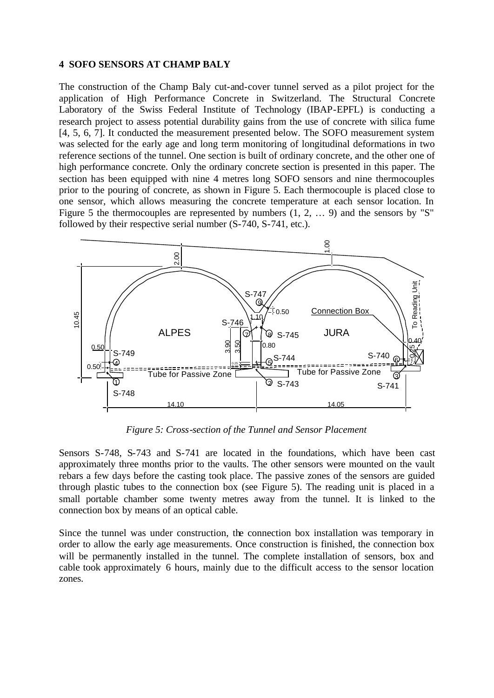#### **4 SOFO SENSORS AT CHAMP BALY**

The construction of the Champ Baly cut-and-cover tunnel served as a pilot project for the application of High Performance Concrete in Switzerland. The Structural Concrete Laboratory of the Swiss Federal Institute of Technology (IBAP-EPFL) is conducting a research project to assess potential durability gains from the use of concrete with silica fume [4, 5, 6, 7]. It conducted the measurement presented below. The SOFO measurement system was selected for the early age and long term monitoring of longitudinal deformations in two reference sections of the tunnel. One section is built of ordinary concrete, and the other one of high performance concrete. Only the ordinary concrete section is presented in this paper. The section has been equipped with nine 4 metres long SOFO sensors and nine thermocouples prior to the pouring of concrete, as shown in Figure 5. Each thermocouple is placed close to one sensor, which allows measuring the concrete temperature at each sensor location. In Figure 5 the thermocouples are represented by numbers  $(1, 2, \ldots, 9)$  and the sensors by "S" followed by their respective serial number (S-740, S-741, etc.).



*Figure 5: Cross-section of the Tunnel and Sensor Placement*

Sensors S-748, S-743 and S-741 are located in the foundations, which have been cast approximately three months prior to the vaults. The other sensors were mounted on the vault rebars a few days before the casting took place. The passive zones of the sensors are guided through plastic tubes to the connection box (see Figure 5). The reading unit is placed in a small portable chamber some twenty metres away from the tunnel. It is linked to the connection box by means of an optical cable.

Since the tunnel was under construction, the connection box installation was temporary in order to allow the early age measurements. Once construction is finished, the connection box will be permanently installed in the tunnel. The complete installation of sensors, box and cable took approximately 6 hours, mainly due to the difficult access to the sensor location zones.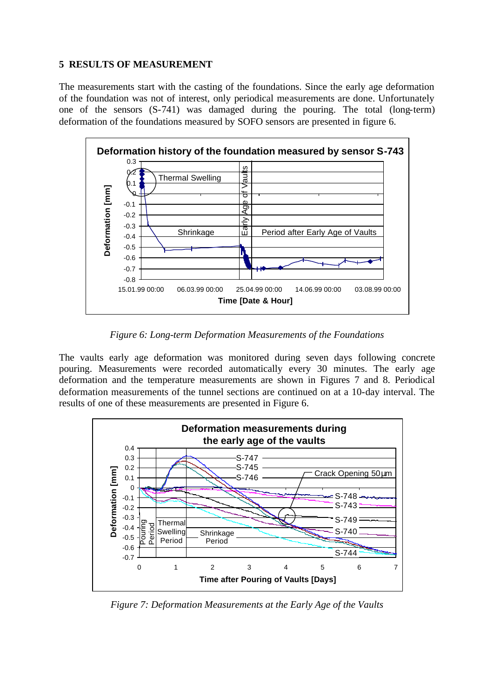### **5 RESULTS OF MEASUREMENT**

The measurements start with the casting of the foundations. Since the early age deformation of the foundation was not of interest, only periodical measurements are done. Unfortunately one of the sensors (S-741) was damaged during the pouring. The total (long-term) deformation of the foundations measured by SOFO sensors are presented in figure 6.



*Figure 6: Long-term Deformation Measurements of the Foundations*

The vaults early age deformation was monitored during seven days following concrete pouring. Measurements were recorded automatically every 30 minutes. The early age deformation and the temperature measurements are shown in Figures 7 and 8. Periodical deformation measurements of the tunnel sections are continued on at a 10-day interval. The results of one of these measurements are presented in Figure 6.



*Figure 7: Deformation Measurements at the Early Age of the Vaults*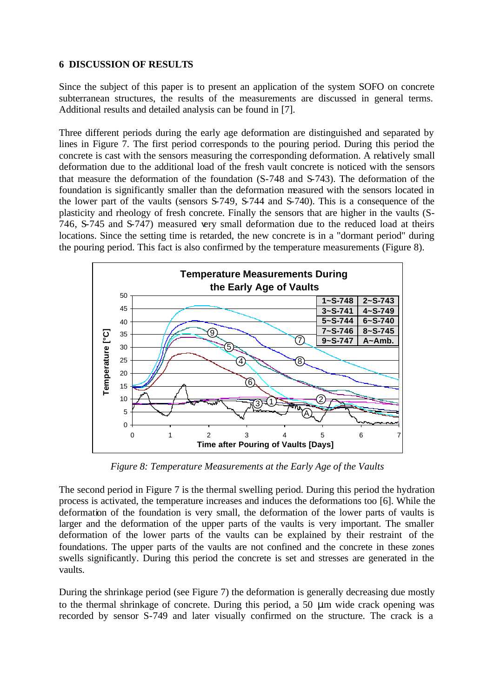### **6 DISCUSSION OF RESULTS**

Since the subject of this paper is to present an application of the system SOFO on concrete subterranean structures, the results of the measurements are discussed in general terms. Additional results and detailed analysis can be found in [7].

Three different periods during the early age deformation are distinguished and separated by lines in Figure 7. The first period corresponds to the pouring period. During this period the concrete is cast with the sensors measuring the corresponding deformation. A relatively small deformation due to the additional load of the fresh vault concrete is noticed with the sensors that measure the deformation of the foundation (S-748 and S-743). The deformation of the foundation is significantly smaller than the deformation measured with the sensors located in the lower part of the vaults (sensors S-749, S-744 and S-740). This is a consequence of the plasticity and rheology of fresh concrete. Finally the sensors that are higher in the vaults (S-746, S-745 and S-747) measured very small deformation due to the reduced load at theirs locations. Since the setting time is retarded, the new concrete is in a "dormant period" during the pouring period. This fact is also confirmed by the temperature measurements (Figure 8).



*Figure 8: Temperature Measurements at the Early Age of the Vaults*

The second period in Figure 7 is the thermal swelling period. During this period the hydration process is activated, the temperature increases and induces the deformations too [6]. While the deformation of the foundation is very small, the deformation of the lower parts of vaults is larger and the deformation of the upper parts of the vaults is very important. The smaller deformation of the lower parts of the vaults can be explained by their restraint of the foundations. The upper parts of the vaults are not confined and the concrete in these zones swells significantly. During this period the concrete is set and stresses are generated in the vaults.

During the shrinkage period (see Figure 7) the deformation is generally decreasing due mostly to the thermal shrinkage of concrete. During this period, a 50 μm wide crack opening was recorded by sensor S-749 and later visually confirmed on the structure. The crack is a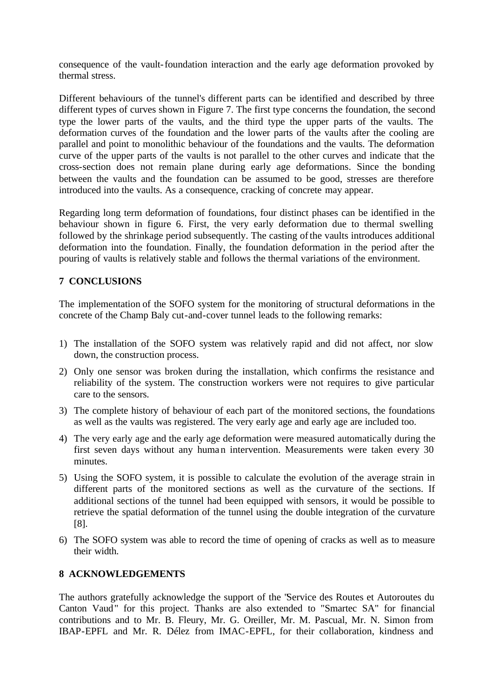consequence of the vault-foundation interaction and the early age deformation provoked by thermal stress.

Different behaviours of the tunnel's different parts can be identified and described by three different types of curves shown in Figure 7. The first type concerns the foundation, the second type the lower parts of the vaults, and the third type the upper parts of the vaults. The deformation curves of the foundation and the lower parts of the vaults after the cooling are parallel and point to monolithic behaviour of the foundations and the vaults. The deformation curve of the upper parts of the vaults is not parallel to the other curves and indicate that the cross-section does not remain plane during early age deformations. Since the bonding between the vaults and the foundation can be assumed to be good, stresses are therefore introduced into the vaults. As a consequence, cracking of concrete may appear.

Regarding long term deformation of foundations, four distinct phases can be identified in the behaviour shown in figure 6. First, the very early deformation due to thermal swelling followed by the shrinkage period subsequently. The casting of the vaults introduces additional deformation into the foundation. Finally, the foundation deformation in the period after the pouring of vaults is relatively stable and follows the thermal variations of the environment.

### **7 CONCLUSIONS**

The implementation of the SOFO system for the monitoring of structural deformations in the concrete of the Champ Baly cut-and-cover tunnel leads to the following remarks:

- 1) The installation of the SOFO system was relatively rapid and did not affect, nor slow down, the construction process.
- 2) Only one sensor was broken during the installation, which confirms the resistance and reliability of the system. The construction workers were not requires to give particular care to the sensors.
- 3) The complete history of behaviour of each part of the monitored sections, the foundations as well as the vaults was registered. The very early age and early age are included too.
- 4) The very early age and the early age deformation were measured automatically during the first seven days without any human intervention. Measurements were taken every 30 minutes.
- 5) Using the SOFO system, it is possible to calculate the evolution of the average strain in different parts of the monitored sections as well as the curvature of the sections. If additional sections of the tunnel had been equipped with sensors, it would be possible to retrieve the spatial deformation of the tunnel using the double integration of the curvature [8].
- 6) The SOFO system was able to record the time of opening of cracks as well as to measure their width.

### **8 ACKNOWLEDGEMENTS**

The authors gratefully acknowledge the support of the "Service des Routes et Autoroutes du Canton Vaud" for this project. Thanks are also extended to "Smartec SA" for financial contributions and to Mr. B. Fleury, Mr. G. Oreiller, Mr. M. Pascual, Mr. N. Simon from IBAP-EPFL and Mr. R. Délez from IMAC-EPFL, for their collaboration, kindness and